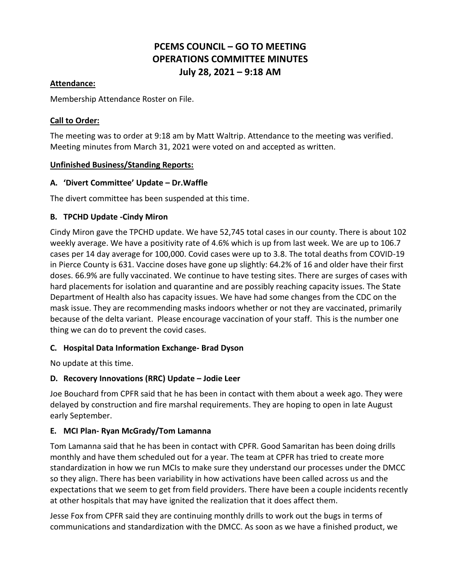# **PCEMS COUNCIL – GO TO MEETING OPERATIONS COMMITTEE MINUTES July 28, 2021 – 9:18 AM**

#### **Attendance:**

Membership Attendance Roster on File.

#### **Call to Order:**

The meeting was to order at 9:18 am by Matt Waltrip. Attendance to the meeting was verified. Meeting minutes from March 31, 2021 were voted on and accepted as written.

#### **Unfinished Business/Standing Reports:**

#### **A. 'Divert Committee' Update – Dr.Waffle**

The divert committee has been suspended at this time.

#### **B. TPCHD Update -Cindy Miron**

Cindy Miron gave the TPCHD update. We have 52,745 total cases in our county. There is about 102 weekly average. We have a positivity rate of 4.6% which is up from last week. We are up to 106.7 cases per 14 day average for 100,000. Covid cases were up to 3.8. The total deaths from COVID-19 in Pierce County is 631. Vaccine doses have gone up slightly: 64.2% of 16 and older have their first doses. 66.9% are fully vaccinated. We continue to have testing sites. There are surges of cases with hard placements for isolation and quarantine and are possibly reaching capacity issues. The State Department of Health also has capacity issues. We have had some changes from the CDC on the mask issue. They are recommending masks indoors whether or not they are vaccinated, primarily because of the delta variant. Please encourage vaccination of your staff. This is the number one thing we can do to prevent the covid cases.

## **C. Hospital Data Information Exchange- Brad Dyson**

No update at this time.

## **D. Recovery Innovations (RRC) Update – Jodie Leer**

Joe Bouchard from CPFR said that he has been in contact with them about a week ago. They were delayed by construction and fire marshal requirements. They are hoping to open in late August early September.

## **E. MCI Plan- Ryan McGrady/Tom Lamanna**

Tom Lamanna said that he has been in contact with CPFR. Good Samaritan has been doing drills monthly and have them scheduled out for a year. The team at CPFR has tried to create more standardization in how we run MCIs to make sure they understand our processes under the DMCC so they align. There has been variability in how activations have been called across us and the expectations that we seem to get from field providers. There have been a couple incidents recently at other hospitals that may have ignited the realization that it does affect them.

Jesse Fox from CPFR said they are continuing monthly drills to work out the bugs in terms of communications and standardization with the DMCC. As soon as we have a finished product, we